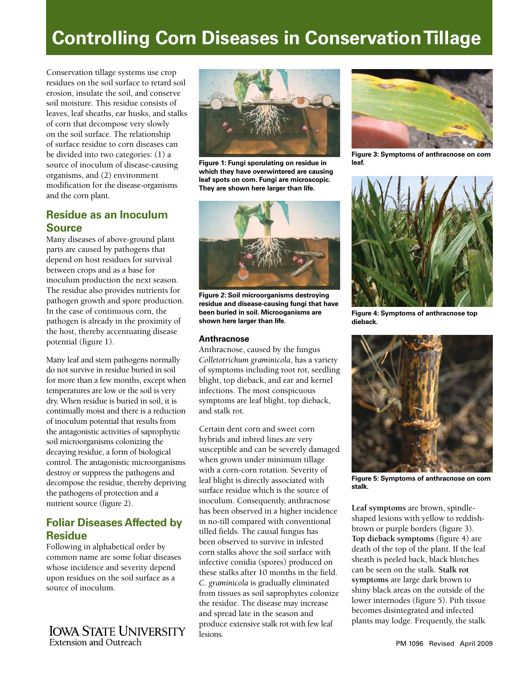# **Controlling Corn Diseases in Conservation Tillage**

Conservation tillage systems use crop residues on the soil surface to retard soil erosion, insulate the soil, and conserve soil moisture. This residue consists of leaves, leaf sheaths, ear husks, and stalks of corn that decompose very slowly on the soil surface. The relationship of surface residue to corn diseases can be divided into two categories: (1) a source of inoculum of disease-causing organisms, and (2) environment modification for the disease-organisms and the corn plant.

## **Residue as an Inoculum Source**

Many diseases of above-ground plant parts are caused by pathogens that depend on host residues for survival between crops and as a base for inoculum production the next season. The residue also provides nutrients for pathogen growth and spore production. In the case of continuous corn, the pathogen is already in the proximity of the host, thereby accentuating disease potential (figure 1).

Many leaf and stem pathogens normally do not survive in residue buried in soil for more than a few months, except when temperatures are low or the soil is very dry. When residue is buried in soil, it is continually moist and there is a reduction of inoculum potential that results from the antagonistic activities of saprophytic soil microorganisms colonizing the decaying residue, a form of biological control. The antagonistic microorganisms destroy or suppress the pathogens and decompose the residue, thereby depriving the pathogens of protection and a nutrient source (figure 2).

# **Foliar Diseases Affected by Residue**

Following in alphabetical order by common name are some foliar diseases whose incidence and severity depend upon residues on the soil surface as a source of inoculum.

**IOWA STATE UNIVERSITY** Extension and Outreach



**Figure 1: Fungi sporulating on residue in which they have overwintered are causing leaf spots on corn. Fungi are microscopic. They are shown here larger than life.**



**Figure 2: Soil microorganisms destroying residue and disease-causing fungi that have been buried in soil. Microoganisms are shown here larger than life.**

### **Anthracnose**

Anthracnose, caused by the fungus *Colletotrichum graminicola*, has a variety of symptoms including root rot, seedling blight, top dieback, and ear and kernel infections. The most conspicuous symptoms are leaf blight, top dieback, and stalk rot.

Certain dent corn and sweet corn hybrids and inbred lines are very susceptible and can be severely damaged when grown under minimum tillage with a corn-corn rotation. Severity of leaf blight is directly associated with surface residue which is the source of inoculum. Consequently, anthracnose has been observed in a higher incidence in no-till compared with conventional tilled fields. The causal fungus has been observed to survive in infested corn stalks above the soil surface with infective conidia (spores) produced on these stalks after 10 months in the field. *C. graminicola* is gradually eliminated from tissues as soil saprophytes colonize the residue. The disease may increase and spread late in the season and produce extensive stalk rot with few leaf lesions.



**Figure 3: Symptoms of anthracnose on corn leaf.**



**Figure 4: Symptoms of anthracnose top dieback.**



**Figure 5: Symptoms of anthracnose on corn stalk.**

**Leaf symptoms** are brown, spindleshaped lesions with yellow to reddishbrown or purple borders (figure 3). **Top dieback symptoms** (figure 4) are death of the top of the plant. If the leaf sheath is peeled back, black blotches can be seen on the stalk. **Stalk rot symptoms** are large dark brown to shiny black areas on the outside of the lower internodes (figure 5). Pith tissue becomes disintegrated and infected plants may lodge. Frequently, the stalk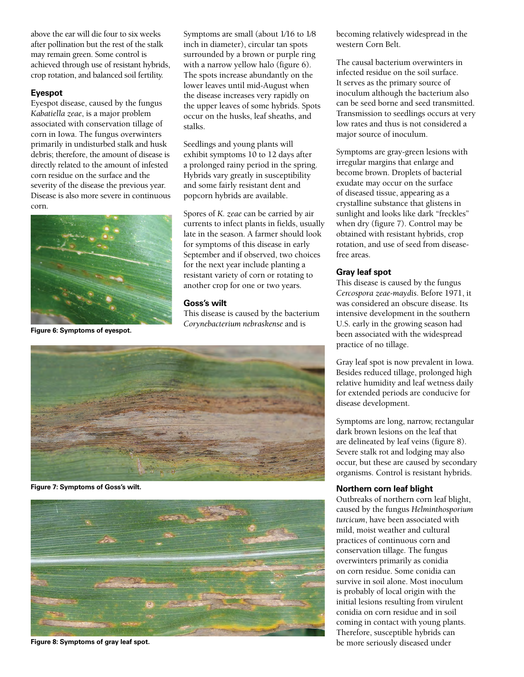above the ear will die four to six weeks after pollination but the rest of the stalk may remain green. Some control is achieved through use of resistant hybrids, crop rotation, and balanced soil fertility.

### **Eyespot**

Eyespot disease, caused by the fungus *Kabatiella zeae*, is a major problem associated with conservation tillage of corn in Iowa. The fungus overwinters primarily in undisturbed stalk and husk debris; therefore, the amount of disease is directly related to the amount of infested corn residue on the surface and the severity of the disease the previous year. Disease is also more severe in continuous corn.



**Figure 6: Symptoms of eyespot.**

Symptoms are small (about 1⁄16 to 1⁄8 inch in diameter), circular tan spots surrounded by a brown or purple ring with a narrow yellow halo (figure 6). The spots increase abundantly on the lower leaves until mid-August when the disease increases very rapidly on the upper leaves of some hybrids. Spots occur on the husks, leaf sheaths, and stalks.

Seedlings and young plants will exhibit symptoms 10 to 12 days after a prolonged rainy period in the spring. Hybrids vary greatly in susceptibility and some fairly resistant dent and popcorn hybrids are available.

Spores of *K. zeae* can be carried by air currents to infect plants in fields, usually late in the season. A farmer should look for symptoms of this disease in early September and if observed, two choices for the next year include planting a resistant variety of corn or rotating to another crop for one or two years.

### **Goss's wilt**

This disease is caused by the bacterium *Corynebacterium nebraskense* and is



**Figure 7: Symptoms of Goss's wilt.**



**Figure 8: Symptoms of gray leaf spot.**

becoming relatively widespread in the western Corn Belt.

The causal bacterium overwinters in infected residue on the soil surface. It serves as the primary source of inoculum although the bacterium also can be seed borne and seed transmitted. Transmission to seedlings occurs at very low rates and thus is not considered a major source of inoculum.

Symptoms are gray-green lesions with irregular margins that enlarge and become brown. Droplets of bacterial exudate may occur on the surface of diseased tissue, appearing as a crystalline substance that glistens in sunlight and looks like dark "freckles" when dry (figure 7). Control may be obtained with resistant hybrids, crop rotation, and use of seed from diseasefree areas.

### **Gray leaf spot**

This disease is caused by the fungus *Cercospora zeae-maydis*. Before 1971, it was considered an obscure disease. Its intensive development in the southern U.S. early in the growing season had been associated with the widespread practice of no tillage.

Gray leaf spot is now prevalent in Iowa. Besides reduced tillage, prolonged high relative humidity and leaf wetness daily for extended periods are conducive for disease development.

Symptoms are long, narrow, rectangular dark brown lesions on the leaf that are delineated by leaf veins (figure 8). Severe stalk rot and lodging may also occur, but these are caused by secondary organisms. Control is resistant hybrids.

### **Northern corn leaf blight**

Outbreaks of northern corn leaf blight, caused by the fungus *Helminthosporium turcicum*, have been associated with mild, moist weather and cultural practices of continuous corn and conservation tillage. The fungus overwinters primarily as conidia on corn residue. Some conidia can survive in soil alone. Most inoculum is probably of local origin with the initial lesions resulting from virulent conidia on corn residue and in soil coming in contact with young plants. Therefore, susceptible hybrids can be more seriously diseased under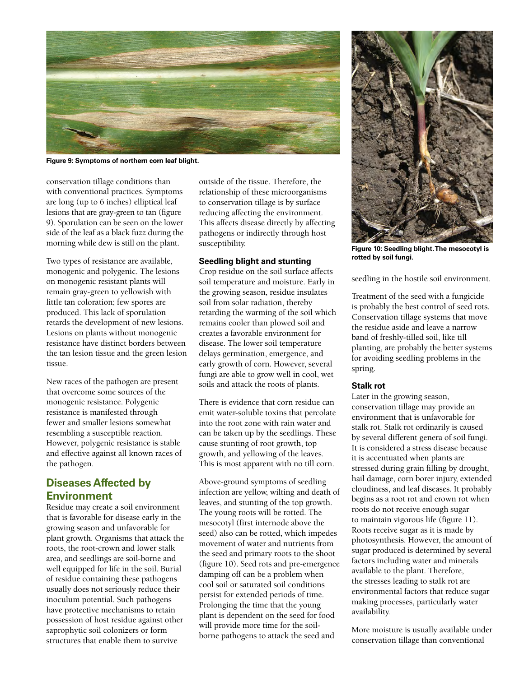

**Figure 9: Symptoms of northern corn leaf blight.**

conservation tillage conditions than with conventional practices. Symptoms are long (up to 6 inches) elliptical leaf lesions that are gray-green to tan (figure 9). Sporulation can be seen on the lower side of the leaf as a black fuzz during the morning while dew is still on the plant.

Two types of resistance are available, monogenic and polygenic. The lesions on monogenic resistant plants will remain gray-green to yellowish with little tan coloration; few spores are produced. This lack of sporulation retards the development of new lesions. Lesions on plants without monogenic resistance have distinct borders between the tan lesion tissue and the green lesion tissue.

New races of the pathogen are present that overcome some sources of the monogenic resistance. Polygenic resistance is manifested through fewer and smaller lesions somewhat resembling a susceptible reaction. However, polygenic resistance is stable and effective against all known races of the pathogen.

## **Diseases Affected by Environment**

Residue may create a soil environment that is favorable for disease early in the growing season and unfavorable for plant growth. Organisms that attack the roots, the root-crown and lower stalk area, and seedlings are soil-borne and well equipped for life in the soil. Burial of residue containing these pathogens usually does not seriously reduce their inoculum potential. Such pathogens have protective mechanisms to retain possession of host residue against other saprophytic soil colonizers or form structures that enable them to survive

outside of the tissue. Therefore, the relationship of these microorganisms to conservation tillage is by surface reducing affecting the environment. This affects disease directly by affecting pathogens or indirectly through host susceptibility.

### **Seedling blight and stunting**

Crop residue on the soil surface affects soil temperature and moisture. Early in the growing season, residue insulates soil from solar radiation, thereby retarding the warming of the soil which remains cooler than plowed soil and creates a favorable environment for disease. The lower soil temperature delays germination, emergence, and early growth of corn. However, several fungi are able to grow well in cool, wet soils and attack the roots of plants.

There is evidence that corn residue can emit water-soluble toxins that percolate into the root zone with rain water and can be taken up by the seedlings. These cause stunting of root growth, top growth, and yellowing of the leaves. This is most apparent with no till corn.

Above-ground symptoms of seedling infection are yellow, wilting and death of leaves, and stunting of the top growth. The young roots will be rotted. The mesocotyl (first internode above the seed) also can be rotted, which impedes movement of water and nutrients from the seed and primary roots to the shoot (figure 10). Seed rots and pre-emergence damping off can be a problem when cool soil or saturated soil conditions persist for extended periods of time. Prolonging the time that the young plant is dependent on the seed for food will provide more time for the soilborne pathogens to attack the seed and



**Figure 10: Seedling blight. The mesocotyl is rotted by soil fungi.**

seedling in the hostile soil environment.

Treatment of the seed with a fungicide is probably the best control of seed rots. Conservation tillage systems that move the residue aside and leave a narrow band of freshly-tilled soil, like till planting, are probably the better systems for avoiding seedling problems in the spring.

### **Stalk rot**

Later in the growing season, conservation tillage may provide an environment that is unfavorable for stalk rot. Stalk rot ordinarily is caused by several different genera of soil fungi. It is considered a stress disease because it is accentuated when plants are stressed during grain filling by drought, hail damage, corn borer injury, extended cloudiness, and leaf diseases. It probably begins as a root rot and crown rot when roots do not receive enough sugar to maintain vigorous life (figure 11). Roots receive sugar as it is made by photosynthesis. However, the amount of sugar produced is determined by several factors including water and minerals available to the plant. Therefore, the stresses leading to stalk rot are environmental factors that reduce sugar making processes, particularly water availability.

More moisture is usually available under conservation tillage than conventional